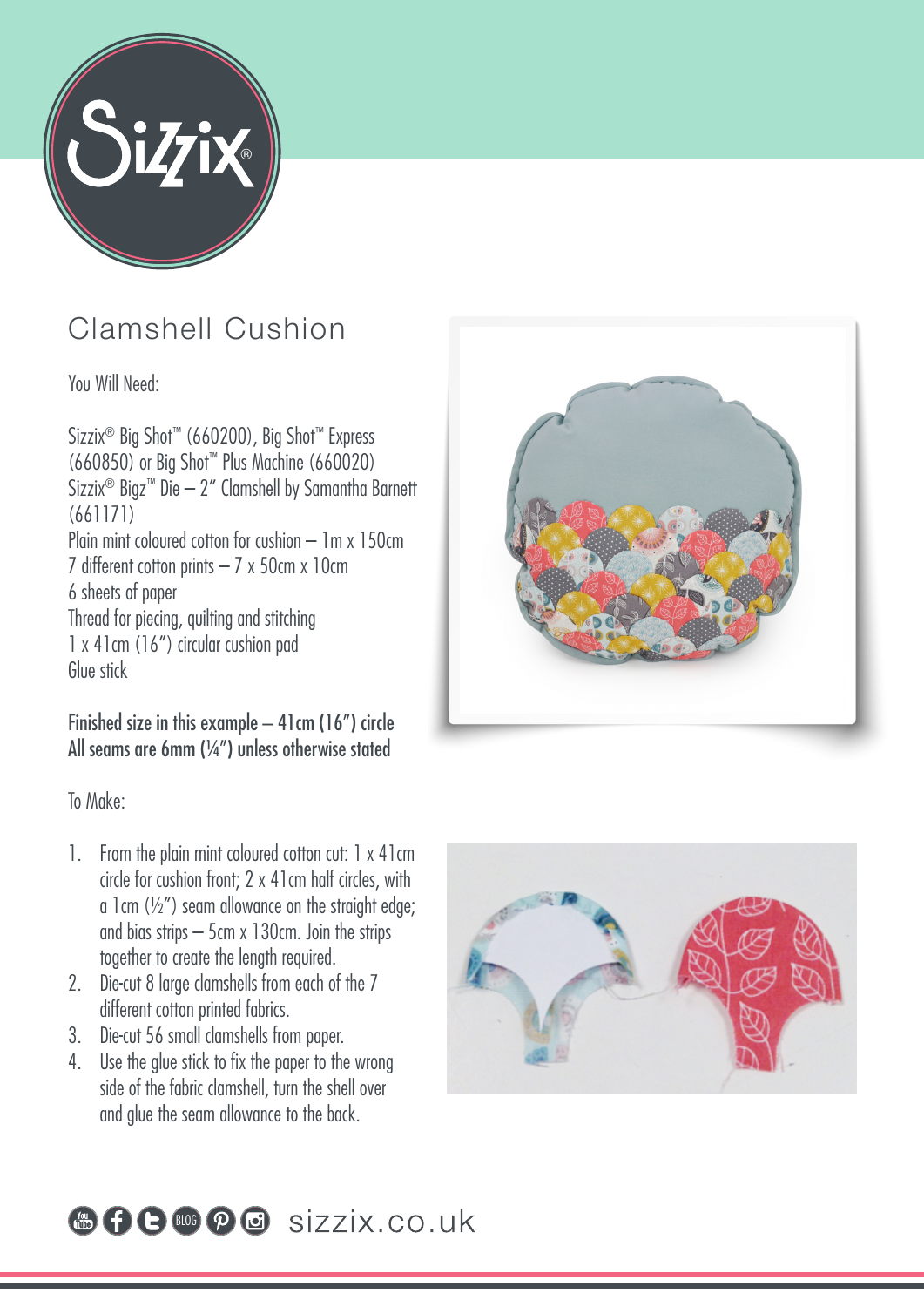

## Clamshell Cushion

You Will Need:

Sizzix® Big Shot™ (660200), Big Shot™ Express (660850) or Big Shot™ Plus Machine (660020) Sizzix® Bigz™ Die – 2" Clamshell by Samantha Barnett (661171) Plain mint coloured cotton for cushion – 1m x 150cm 7 different cotton prints  $-7 \times 50$ cm  $\times 10$ cm 6 sheets of paper Thread for piecing, quilting and stitching 1 x 41cm (16") circular cushion pad Glue stick

## Finished size in this example – 41cm (16") circle All seams are 6mm (¼") unless otherwise stated

To Make:

- 1. From the plain mint coloured cotton cut: 1 x 41cm circle for cushion front; 2 x 41cm half circles, with a 1cm  $(\frac{1}{2})$  seam allowance on the straight edge; and bias strips – 5cm x 130cm. Join the strips together to create the length required.
- 2. Die-cut 8 large clamshells from each of the 7 different cotton printed fabrics.
- 3. Die-cut 56 small clamshells from paper.
- 4. Use the glue stick to fix the paper to the wrong side of the fabric clamshell, turn the shell over and glue the seam allowance to the back.